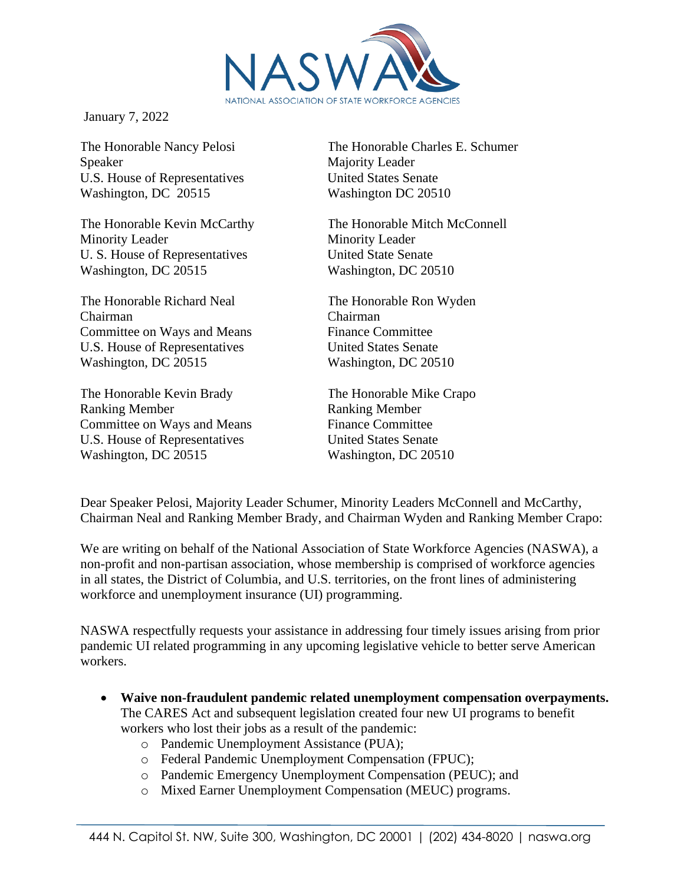

January 7, 2022

The Honorable Nancy Pelosi Speaker U.S. House of Representatives Washington, DC 20515

The Honorable Kevin McCarthy Minority Leader U. S. House of Representatives Washington, DC 20515

The Honorable Richard Neal Chairman Committee on Ways and Means U.S. House of Representatives Washington, DC 20515

The Honorable Kevin Brady Ranking Member Committee on Ways and Means U.S. House of Representatives Washington, DC 20515

The Honorable Charles E. Schumer Majority Leader United States Senate Washington DC 20510

The Honorable Mitch McConnell Minority Leader United State Senate Washington, DC 20510

The Honorable Ron Wyden Chairman Finance Committee United States Senate Washington, DC 20510

The Honorable Mike Crapo Ranking Member Finance Committee United States Senate Washington, DC 20510

Dear Speaker Pelosi, Majority Leader Schumer, Minority Leaders McConnell and McCarthy, Chairman Neal and Ranking Member Brady, and Chairman Wyden and Ranking Member Crapo:

We are writing on behalf of the National Association of State Workforce Agencies (NASWA), a non-profit and non-partisan association, whose membership is comprised of workforce agencies in all states, the District of Columbia, and U.S. territories, on the front lines of administering workforce and unemployment insurance (UI) programming.

NASWA respectfully requests your assistance in addressing four timely issues arising from prior pandemic UI related programming in any upcoming legislative vehicle to better serve American workers.

- **Waive non-fraudulent pandemic related unemployment compensation overpayments.** The CARES Act and subsequent legislation created four new UI programs to benefit workers who lost their jobs as a result of the pandemic:
	- o Pandemic Unemployment Assistance (PUA);
	- o Federal Pandemic Unemployment Compensation (FPUC);
	- o Pandemic Emergency Unemployment Compensation (PEUC); and
	- o Mixed Earner Unemployment Compensation (MEUC) programs.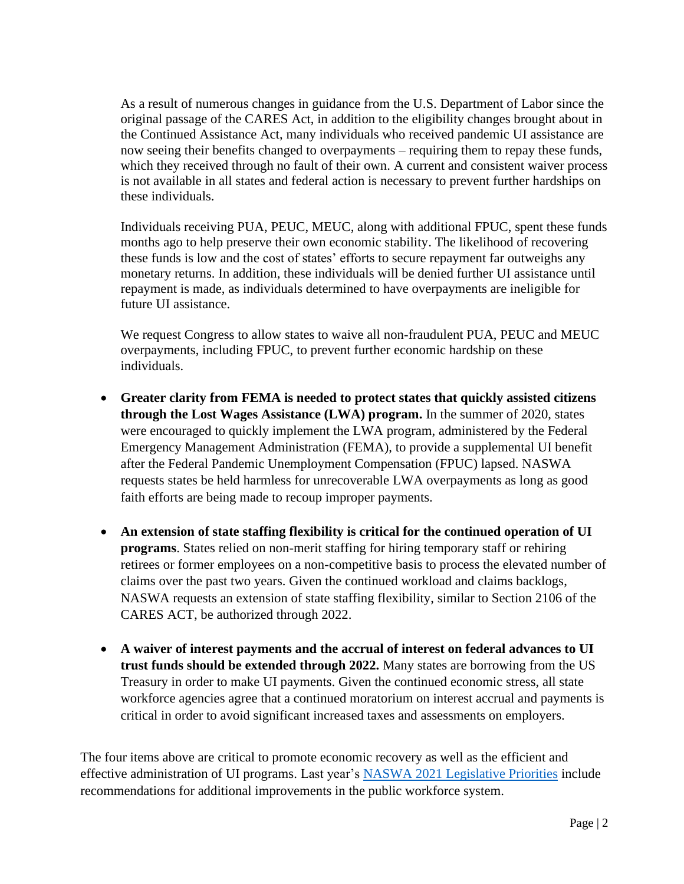As a result of numerous changes in guidance from the U.S. Department of Labor since the original passage of the CARES Act, in addition to the eligibility changes brought about in the Continued Assistance Act, many individuals who received pandemic UI assistance are now seeing their benefits changed to overpayments – requiring them to repay these funds, which they received through no fault of their own. A current and consistent waiver process is not available in all states and federal action is necessary to prevent further hardships on these individuals.

Individuals receiving PUA, PEUC, MEUC, along with additional FPUC, spent these funds months ago to help preserve their own economic stability. The likelihood of recovering these funds is low and the cost of states' efforts to secure repayment far outweighs any monetary returns. In addition, these individuals will be denied further UI assistance until repayment is made, as individuals determined to have overpayments are ineligible for future UI assistance.

We request Congress to allow states to waive all non-fraudulent PUA, PEUC and MEUC overpayments, including FPUC, to prevent further economic hardship on these individuals.

- **Greater clarity from FEMA is needed to protect states that quickly assisted citizens through the Lost Wages Assistance (LWA) program.** In the summer of 2020, states were encouraged to quickly implement the LWA program, administered by the Federal Emergency Management Administration (FEMA), to provide a supplemental UI benefit after the Federal Pandemic Unemployment Compensation (FPUC) lapsed. NASWA requests states be held harmless for unrecoverable LWA overpayments as long as good faith efforts are being made to recoup improper payments.
- **An extension of state staffing flexibility is critical for the continued operation of UI programs**. States relied on non-merit staffing for hiring temporary staff or rehiring retirees or former employees on a non-competitive basis to process the elevated number of claims over the past two years. Given the continued workload and claims backlogs, NASWA requests an extension of state staffing flexibility, similar to Section 2106 of the CARES ACT, be authorized through 2022.
- **A waiver of interest payments and the accrual of interest on federal advances to UI trust funds should be extended through 2022.** Many states are borrowing from the US Treasury in order to make UI payments. Given the continued economic stress, all state workforce agencies agree that a continued moratorium on interest accrual and payments is critical in order to avoid significant increased taxes and assessments on employers.

The four items above are critical to promote economic recovery as well as the efficient and effective administration of UI programs. Last year's [NASWA 2021 Legislative Priorities](https://www.naswa.org/advocacy/government-relations/2021-legislative-priorities) include recommendations for additional improvements in the public workforce system.